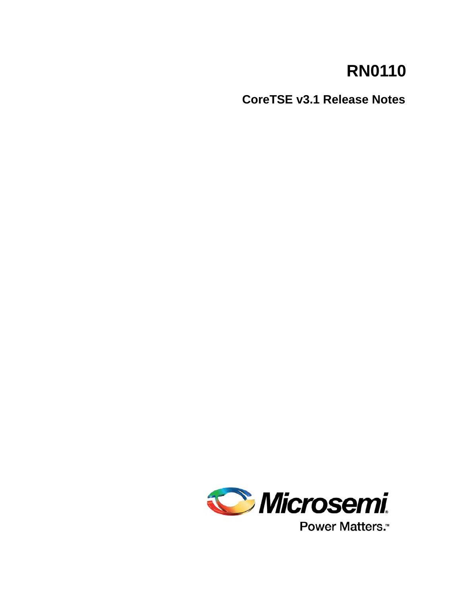# **RN0110**

**CoreTSE v3.1 Release Notes**



Power Matters.<sup>™</sup>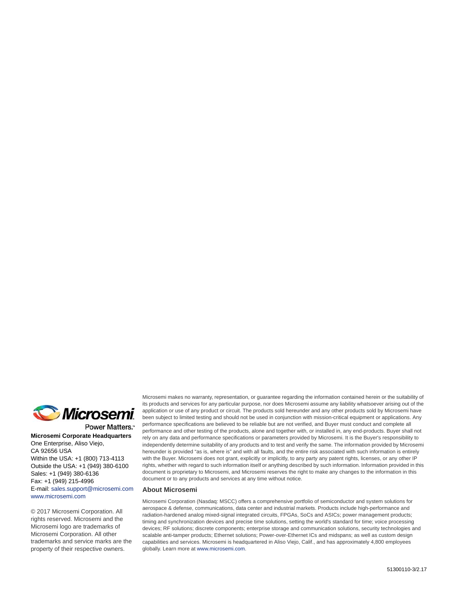

Power Matters.<sup>\*</sup>

**Microsemi Corporate Headquarters** One Enterprise, Aliso Viejo, CA 92656 USA Within the USA: +1 (800) 713-4113 Outside the USA: +1 (949) 380-6100 Sales: +1 (949) 380-6136 Fax: +1 (949) 215-4996 E-mail: [sales.support@microsemi.com](mailto:sales.support@microsemi.com) [www.microsemi.com](http://www.microsemi.com)

© 2017 Microsemi Corporation. All rights reserved. Microsemi and the Microsemi logo are trademarks of Microsemi Corporation. All other trademarks and service marks are the property of their respective owners.

Microsemi makes no warranty, representation, or guarantee regarding the information contained herein or the suitability of its products and services for any particular purpose, nor does Microsemi assume any liability whatsoever arising out of the application or use of any product or circuit. The products sold hereunder and any other products sold by Microsemi have been subject to limited testing and should not be used in conjunction with mission-critical equipment or applications. Any performance specifications are believed to be reliable but are not verified, and Buyer must conduct and complete all performance and other testing of the products, alone and together with, or installed in, any end-products. Buyer shall not rely on any data and performance specifications or parameters provided by Microsemi. It is the Buyer's responsibility to independently determine suitability of any products and to test and verify the same. The information provided by Microsemi hereunder is provided "as is, where is" and with all faults, and the entire risk associated with such information is entirely with the Buyer. Microsemi does not grant, explicitly or implicitly, to any party any patent rights, licenses, or any other IP rights, whether with regard to such information itself or anything described by such information. Information provided in this document is proprietary to Microsemi, and Microsemi reserves the right to make any changes to the information in this document or to any products and services at any time without notice.

#### **About Microsemi**

Microsemi Corporation (Nasdaq: MSCC) offers a comprehensive portfolio of semiconductor and system solutions for aerospace & defense, communications, data center and industrial markets. Products include high-performance and radiation-hardened analog mixed-signal integrated circuits, FPGAs, SoCs and ASICs; power management products; timing and synchronization devices and precise time solutions, setting the world's standard for time; voice processing devices; RF solutions; discrete components; enterprise storage and communication solutions, security technologies and scalable anti-tamper products; Ethernet solutions; Power-over-Ethernet ICs and midspans; as well as custom design capabilities and services. Microsemi is headquartered in Aliso Viejo, Calif., and has approximately 4,800 employees globally. Learn more at www.microsemi.com.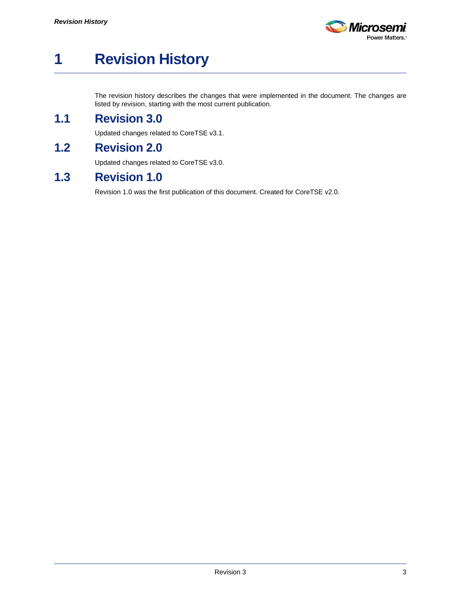

# <span id="page-2-0"></span>**1 Revision History**

The revision history describes the changes that were implemented in the document. The changes are listed by revision, starting with the most current publication.

## <span id="page-2-1"></span>**1.1 Revision 3.0**

Updated changes related to CoreTSE v3.1.

# <span id="page-2-2"></span>**1.2 Revision 2.0**

Updated changes related to CoreTSE v3.0.

### <span id="page-2-3"></span>**1.3 Revision 1.0**

Revision 1.0 was the first publication of this document. Created for CoreTSE v2.0.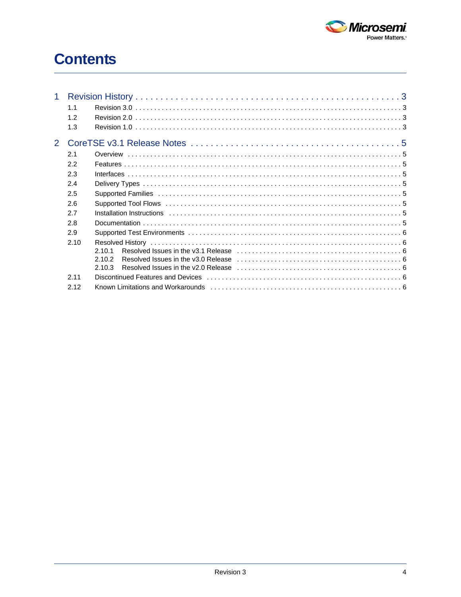

# **Contents**

| 1             | 1.1<br>1.2 |                                                                                                                                                      |  |
|---------------|------------|------------------------------------------------------------------------------------------------------------------------------------------------------|--|
|               | 1.3        |                                                                                                                                                      |  |
| $\mathcal{P}$ |            |                                                                                                                                                      |  |
|               | 2.1        | Overview                                                                                                                                             |  |
|               | 2.2        |                                                                                                                                                      |  |
|               | 2.3        |                                                                                                                                                      |  |
|               | 2.4        |                                                                                                                                                      |  |
|               | 2.5        |                                                                                                                                                      |  |
|               | 2.6        |                                                                                                                                                      |  |
|               | 2.7        |                                                                                                                                                      |  |
|               | 2.8        |                                                                                                                                                      |  |
|               | 2.9        |                                                                                                                                                      |  |
|               | 2.10       | Resolved Issues in the v3.1 Release $\dots\dots\dots\dots\dots\dots\dots\dots\dots\dots\dots\dots\dots\dots\dots\dots$<br>2.10.1<br>2.10.2<br>2.10.3 |  |
|               | 2.11       |                                                                                                                                                      |  |
|               | 2.12       |                                                                                                                                                      |  |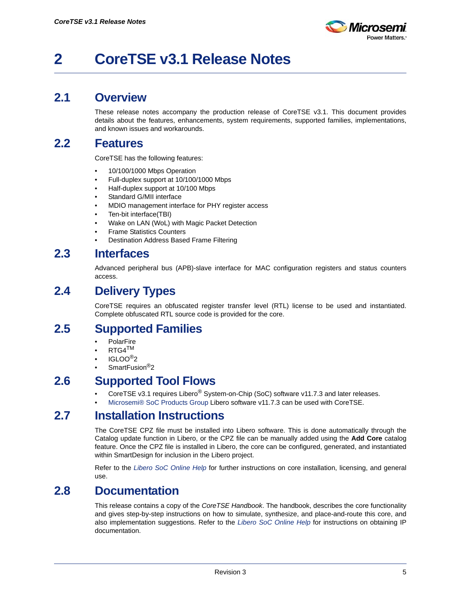

# <span id="page-4-0"></span>**2 CoreTSE v3.1 Release Notes**

#### <span id="page-4-1"></span>**2.1 Overview**

These release notes accompany the production release of CoreTSE v3.1. This document provides details about the features, enhancements, system requirements, supported families, implementations, and known issues and workarounds.

#### <span id="page-4-2"></span>**2.2 Features**

CoreTSE has the following features:

- 10/100/1000 Mbps Operation
- Full-duplex support at 10/100/1000 Mbps
- Half-duplex support at 10/100 Mbps
- Standard G/MII interface
- MDIO management interface for PHY register access
- Ten-bit interface(TBI)
- Wake on LAN (WoL) with Magic Packet Detection
- Frame Statistics Counters
- Destination Address Based Frame Filtering

#### <span id="page-4-3"></span>**2.3 Interfaces**

Advanced peripheral bus (APB)-slave interface for MAC configuration registers and status counters access.

### <span id="page-4-4"></span>**2.4 Delivery Types**

CoreTSE requires an obfuscated register transfer level (RTL) license to be used and instantiated. Complete obfuscated RTL source code is provided for the core.

#### <span id="page-4-5"></span>**2.5 Supported Families**

- **PolarFire**
- $RTG4^{TM}$
- IGLOO®2
- SmartFusion<sup>®</sup>2

#### <span id="page-4-6"></span>**2.6 Supported Tool Flows**

- CoreTSE v3.1 requires Libero® System-on-Chip (SoC) software v11.7.3 and later releases.
- [Microsemi® SoC Products Group](http://www.microsemi.com/products/fpga-soc/design-resources/design-software/libero-soc#documents) Libero software v11.7.3 can be used with CoreTSE.

## <span id="page-4-7"></span>**2.7 Installation Instructions**

The CoreTSE CPZ file must be installed into Libero software. This is done automatically through the Catalog update function in Libero, or the CPZ file can be manually added using the **Add Core** catalog feature. Once the CPZ file is installed in Libero, the core can be configured, generated, and instantiated within SmartDesign for inclusion in the Libero project.

Refer to the *[Libero SoC Online Help](http://www.microsemi.com/index.php?option=com_docman&task=doc_download&gid=132044)* for further instructions on core installation, licensing, and general use.

#### <span id="page-4-8"></span>**2.8 Documentation**

This release contains a copy of the *CoreTSE Handbook*. The handbook, describes the core functionality and gives step-by-step instructions on how to simulate, synthesize, and place-and-route this core, and also implementation suggestions. Refer to the *[Libero SoC Online Help](http://www.microsemi.com/index.php?option=com_docman&task=doc_download&gid=132044)* for instructions on obtaining IP documentation.